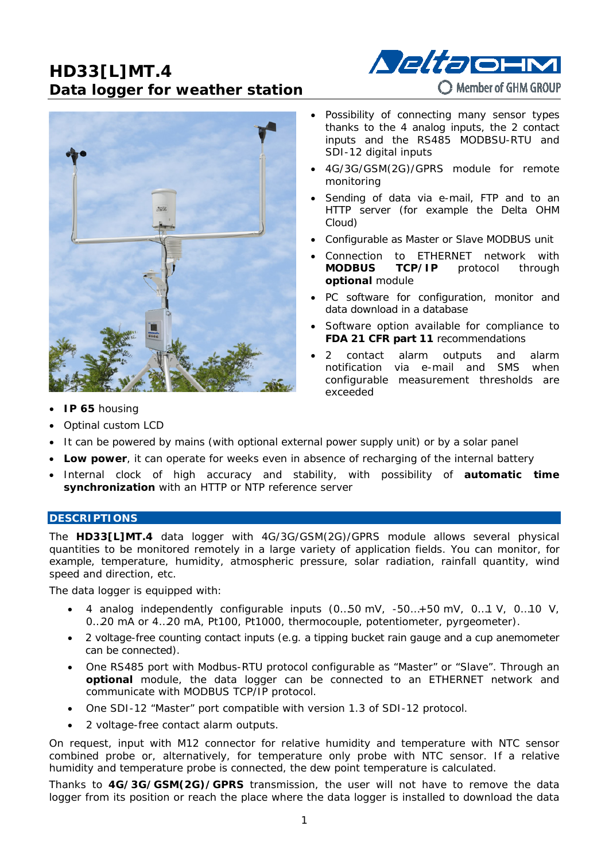# **HD33[L]MT.4 Data logger for weather station**





- Possibility of connecting many sensor types thanks to the 4 analog inputs, the 2 contact inputs and the RS485 MODBSU-RTU and SDI-12 digital inputs
- 4G/3G/GSM(2G)/GPRS module for remote monitoring
- Sending of data via e-mail, FTP and to an HTTP server (for example the Delta OHM Cloud)
- Configurable as Master or Slave MODBUS unit
- Connection to ETHERNET network with **MODBUS TCP/IP** protocol through **optional** module
- PC software for configuration, monitor and data download in a database
- Software option available for compliance to **FDA 21 CFR part 11** recommendations
- 2 contact alarm outputs and alarm notification via e-mail and SMS when configurable measurement thresholds are exceeded

- **IP 65** housing
- Optinal custom LCD
- It can be powered by mains (with optional external power supply unit) or by a solar panel
- **Low power**, it can operate for weeks even in absence of recharging of the internal battery
- Internal clock of high accuracy and stability, with possibility of **automatic time synchronization** with an HTTP or NTP reference server

### **DESCRIPTIONS**

The **HD33[L]MT.4** data logger with 4G/3G/GSM(2G)/GPRS module allows several physical quantities to be monitored remotely in a large variety of application fields. You can monitor, for example, temperature, humidity, atmospheric pressure, solar radiation, rainfall quantity, wind speed and direction, etc.

The data logger is equipped with:

- 4 analog independently configurable inputs (0…50 mV, -50…+50 mV, 0…1 V, 0…10 V, 0…20 mA or 4…20 mA, Pt100, Pt1000, thermocouple, potentiometer, pyrgeometer).
- 2 voltage-free counting contact inputs (e.g. a tipping bucket rain gauge and a cup anemometer can be connected).
- One RS485 port with Modbus-RTU protocol configurable as "Master" or "Slave". Through an **optional** module, the data logger can be connected to an ETHERNET network and communicate with MODBUS TCP/IP protocol.
- One SDI-12 "Master" port compatible with version 1.3 of SDI-12 protocol.
- 2 voltage-free contact alarm outputs.

On request, input with M12 connector for relative humidity and temperature with NTC sensor combined probe or, alternatively, for temperature only probe with NTC sensor. If a relative humidity and temperature probe is connected, the dew point temperature is calculated.

Thanks to **4G/3G/GSM(2G)/GPRS** transmission, the user will not have to remove the data logger from its position or reach the place where the data logger is installed to download the data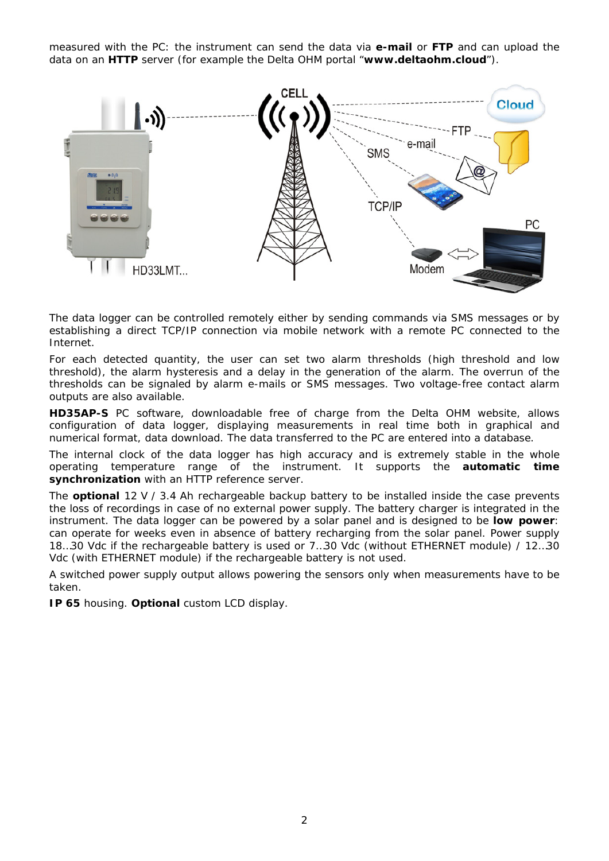measured with the PC: the instrument can send the data via **e-mail** or **FTP** and can upload the data on an **HTTP** server (for example the Delta OHM portal "**www.deltaohm.cloud**").



The data logger can be controlled remotely either by sending commands via SMS messages or by establishing a direct TCP/IP connection via mobile network with a remote PC connected to the Internet.

For each detected quantity, the user can set two alarm thresholds (high threshold and low threshold), the alarm hysteresis and a delay in the generation of the alarm. The overrun of the thresholds can be signaled by alarm e-mails or SMS messages. Two voltage-free contact alarm outputs are also available.

**HD35AP-S** PC software, downloadable free of charge from the Delta OHM website, allows configuration of data logger, displaying measurements in real time both in graphical and numerical format, data download. The data transferred to the PC are entered into a database.

The internal clock of the data logger has high accuracy and is extremely stable in the whole operating temperature range of the instrument. It supports the **automatic time synchronization** with an HTTP reference server.

The **optional** 12 V / 3.4 Ah rechargeable backup battery to be installed inside the case prevents the loss of recordings in case of no external power supply. The battery charger is integrated in the instrument. The data logger can be powered by a solar panel and is designed to be **low power**: can operate for weeks even in absence of battery recharging from the solar panel. Power supply 18…30 Vdc if the rechargeable battery is used or 7…30 Vdc (without ETHERNET module) / 12…30 Vdc (with ETHERNET module) if the rechargeable battery is not used.

A switched power supply output allows powering the sensors only when measurements have to be taken.

**IP 65** housing. **Optional** custom LCD display.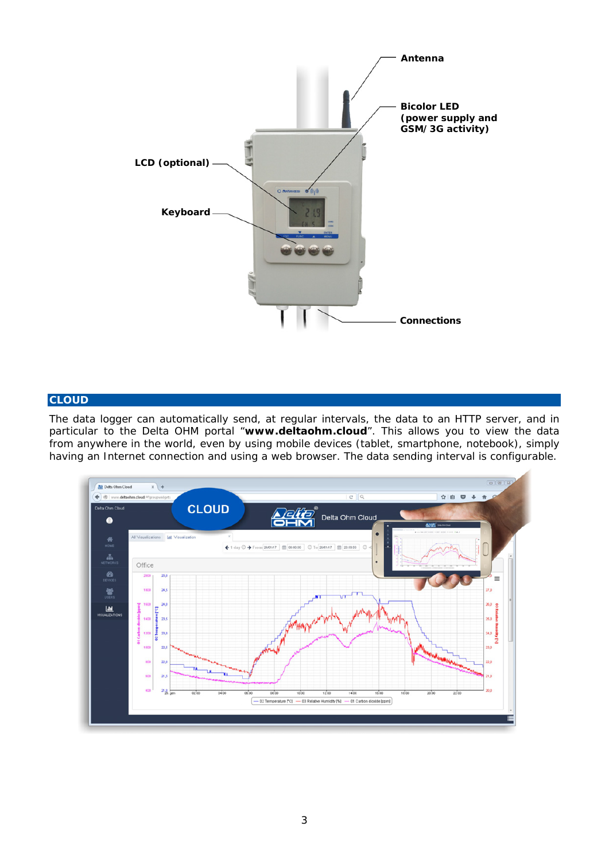

### **CLOUD**

The data logger can automatically send, at regular intervals, the data to an HTTP server, and in particular to the Delta OHM portal "**www.deltaohm.cloud**". This allows you to view the data from anywhere in the world, even by using mobile devices (tablet, smartphone, notebook), simply having an Internet connection and using a web browser. The data sending interval is configurable.

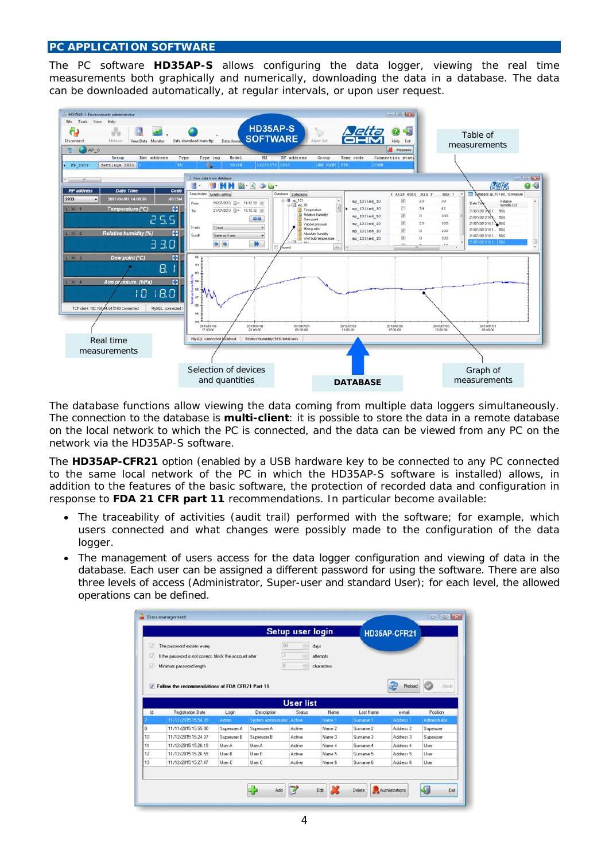### **PC APPLICATION SOFTWARE**

The PC software **HD35AP-S** allows configuring the data logger, viewing the real time measurements both graphically and numerically, downloading the data in a database. The data can be downloaded automatically, at regular intervals, or upon user request.



The database functions allow viewing the data coming from multiple data loggers simultaneously. The connection to the database is **multi-client**: it is possible to store the data in a remote database on the local network to which the PC is connected, and the data can be viewed from any PC on the network via the HD35AP-S software.

The **HD35AP-CFR21** option (enabled by a USB hardware key to be connected to any PC connected to the same local network of the PC in which the HD35AP-S software is installed) allows, in addition to the features of the basic software, the protection of recorded data and configuration in response to **FDA 21 CFR part 11** recommendations. In particular become available:

- The traceability of activities (audit trail) performed with the software; for example, which users connected and what changes were possibly made to the configuration of the data logger.
- The management of users access for the data logger configuration and viewing of data in the database. Each user can be assigned a different password for using the software. There are also three levels of access (Administrator, Super-user and standard User); for each level, the allowed operations can be defined.

| $\sqrt{ }$<br>The password expires every<br>v<br>If the password is not correct, block the account after<br>V<br>Minimum password length |                     |             |                             | Setup user login<br>90<br>승<br>$\frac{1}{\sqrt{2}}$<br>읔 | days<br>attempts<br>characters |           | HD35AP-CFR21 |               |
|------------------------------------------------------------------------------------------------------------------------------------------|---------------------|-------------|-----------------------------|----------------------------------------------------------|--------------------------------|-----------|--------------|---------------|
| Reload<br>Apply<br>Follow the recommendations of FDA CFR21 Part 11<br>$\overline{v}$<br><b>User list</b>                                 |                     |             |                             |                                                          |                                |           |              |               |
| Id                                                                                                                                       | Registration Date   | Login       | Description                 | Status                                                   | Name                           | Last Name | e-mail       | Position      |
|                                                                                                                                          | 11/11/2015 15:54:39 | Admin       | System administrator Active |                                                          | Name <sub>1</sub>              | Surname 1 | Address 1    | Administrator |
|                                                                                                                                          | 11/11/2015 15:55.00 | Superuser A | Superuser A                 | Active                                                   | Name 2                         | Surname 2 | Address 2    | Superuser     |
| 10                                                                                                                                       | 11/12/2015 15:24:37 | Superuser B | Superuser B                 | Active                                                   | Name 3                         | Surname 3 | Address 3    | Superuser     |
| 11                                                                                                                                       | 11/12/2015 15:26:19 | User A      | Liser A                     | Active                                                   | Name 4                         | Surname 4 | Address 4    | User          |
| 12                                                                                                                                       | 11/12/2015 15:26:59 | User B      | User B                      | Active                                                   | Name 5                         | Surname 5 | Address 5    | User          |
|                                                                                                                                          | 11/12/2015 15:27.47 | User C      | User C                      | Active                                                   | Name 6                         | Surname 6 | Address 6    | User          |
| 13                                                                                                                                       |                     |             |                             |                                                          |                                |           |              |               |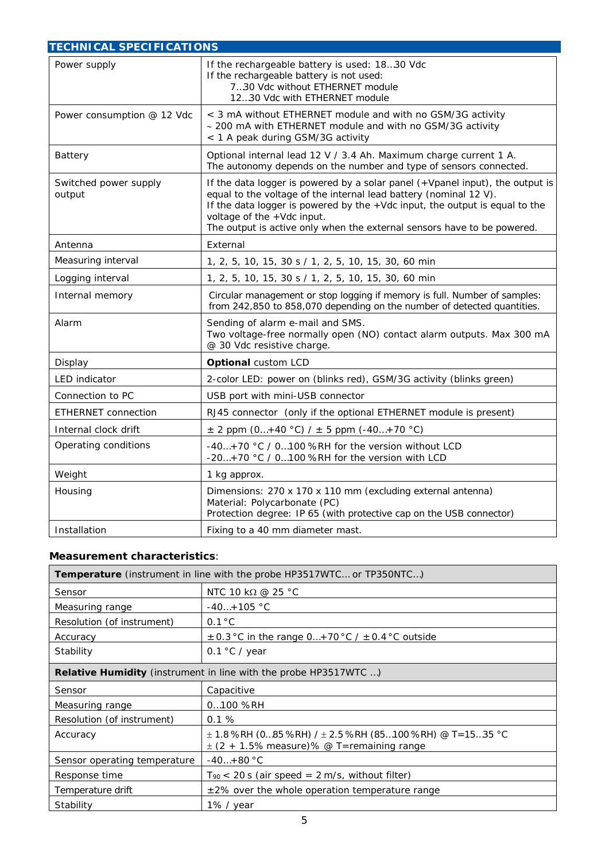| <b>TECHNICAL SPECIFICATIONS</b> |                                                                                                                                                                                                                                                                                                                                            |  |  |  |  |
|---------------------------------|--------------------------------------------------------------------------------------------------------------------------------------------------------------------------------------------------------------------------------------------------------------------------------------------------------------------------------------------|--|--|--|--|
| Power supply                    | If the rechargeable battery is used: 1830 Vdc<br>If the rechargeable battery is not used:<br>730 Vdc without ETHERNET module<br>1230 Vdc with ETHERNET module                                                                                                                                                                              |  |  |  |  |
| Power consumption @ 12 Vdc      | < 3 mA without ETHERNET module and with no GSM/3G activity<br>~ 200 mA with ETHERNET module and with no GSM/3G activity<br>< 1 A peak during GSM/3G activity                                                                                                                                                                               |  |  |  |  |
| Battery                         | Optional internal lead 12 V / 3.4 Ah. Maximum charge current 1 A.<br>The autonomy depends on the number and type of sensors connected.                                                                                                                                                                                                     |  |  |  |  |
| Switched power supply<br>output | If the data logger is powered by a solar panel (+Vpanel input), the output is<br>equal to the voltage of the internal lead battery (nominal 12 V).<br>If the data logger is powered by the +Vdc input, the output is equal to the<br>voltage of the +Vdc input.<br>The output is active only when the external sensors have to be powered. |  |  |  |  |
| Antenna                         | External                                                                                                                                                                                                                                                                                                                                   |  |  |  |  |
| Measuring interval              | 1, 2, 5, 10, 15, 30 s / 1, 2, 5, 10, 15, 30, 60 min                                                                                                                                                                                                                                                                                        |  |  |  |  |
| Logging interval                | 1, 2, 5, 10, 15, 30 s / 1, 2, 5, 10, 15, 30, 60 min                                                                                                                                                                                                                                                                                        |  |  |  |  |
| Internal memory                 | Circular management or stop logging if memory is full. Number of samples:<br>from 242,850 to 858,070 depending on the number of detected quantities.                                                                                                                                                                                       |  |  |  |  |
| Alarm                           | Sending of alarm e-mail and SMS.<br>Two voltage-free normally open (NO) contact alarm outputs. Max 300 mA<br>@ 30 Vdc resistive charge.                                                                                                                                                                                                    |  |  |  |  |
| Display                         | <b>Optional custom LCD</b>                                                                                                                                                                                                                                                                                                                 |  |  |  |  |
| LED indicator                   | 2-color LED: power on (blinks red), GSM/3G activity (blinks green)                                                                                                                                                                                                                                                                         |  |  |  |  |
| Connection to PC                | USB port with mini-USB connector                                                                                                                                                                                                                                                                                                           |  |  |  |  |
| <b>ETHERNET</b> connection      | RJ45 connector (only if the optional ETHERNET module is present)                                                                                                                                                                                                                                                                           |  |  |  |  |
| Internal clock drift            | $\pm$ 2 ppm (0+40 °C) / $\pm$ 5 ppm (-40+70 °C)                                                                                                                                                                                                                                                                                            |  |  |  |  |
| Operating conditions            | -40+70 °C / 0100 %RH for the version without LCD<br>-20+70 °C / 0100 %RH for the version with LCD                                                                                                                                                                                                                                          |  |  |  |  |
| Weight                          | 1 kg approx.                                                                                                                                                                                                                                                                                                                               |  |  |  |  |
| Housing                         | Dimensions: 270 x 170 x 110 mm (excluding external antenna)<br>Material: Polycarbonate (PC)<br>Protection degree: IP 65 (with protective cap on the USB connector)                                                                                                                                                                         |  |  |  |  |
| Installation                    | Fixing to a 40 mm diameter mast.                                                                                                                                                                                                                                                                                                           |  |  |  |  |

## **Measurement characteristics**:

| <b>Temperature</b> (instrument in line with the probe HP3517WTC or TP350NTC) |                                                          |  |  |  |  |
|------------------------------------------------------------------------------|----------------------------------------------------------|--|--|--|--|
| Sensor                                                                       | NTC 10 kΩ @ 25 °C                                        |  |  |  |  |
| Measuring range                                                              | $-40+105$ °C                                             |  |  |  |  |
| Resolution (of instrument)                                                   | $0.1\degree C$                                           |  |  |  |  |
| Accuracy                                                                     | $\pm$ 0.3 °C in the range 0+70 °C / $\pm$ 0.4 °C outside |  |  |  |  |
| Stability                                                                    | 0.1 $\degree$ C / year                                   |  |  |  |  |
| <b>Relative Humidity</b> (instrument in line with the probe HP3517WTC )      |                                                          |  |  |  |  |
| Sensor                                                                       | Capacitive                                               |  |  |  |  |
| Measuring range                                                              | $0100$ %RH                                               |  |  |  |  |
| Resolution (of instrument)                                                   | 0.1%                                                     |  |  |  |  |
| Accuracy                                                                     | $\pm$ (2 + 1.5% measure)% @ T=remaining range            |  |  |  |  |
| Sensor operating temperature                                                 | $-40+80 °C$                                              |  |  |  |  |
| Response time                                                                | $T_{90}$ < 20 s (air speed = 2 m/s, without filter)      |  |  |  |  |
| Temperature drift                                                            | $\pm$ 2% over the whole operation temperature range      |  |  |  |  |
| Stability                                                                    | 1% / year                                                |  |  |  |  |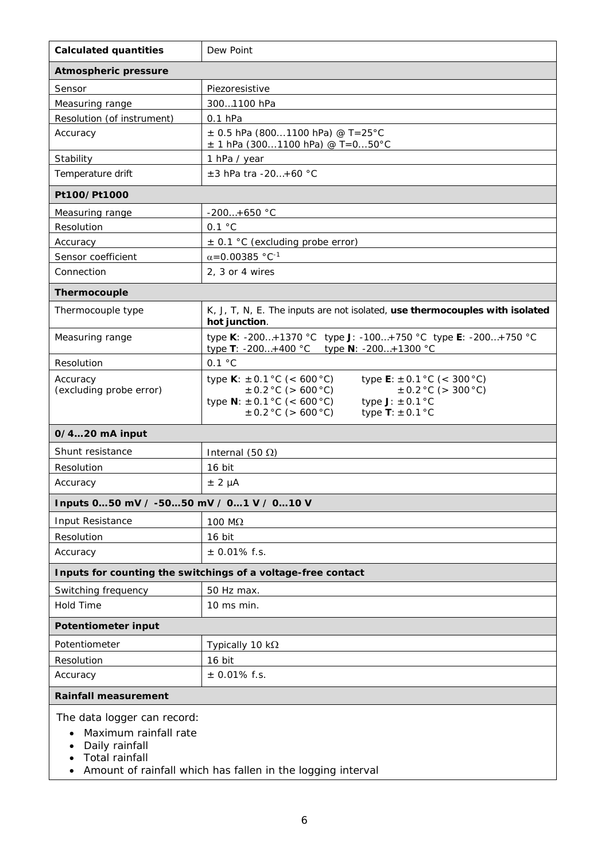| <b>Calculated quantities</b>                                                                                                                                        | Dew Point                                                                                                                                                                                                                                              |  |  |  |
|---------------------------------------------------------------------------------------------------------------------------------------------------------------------|--------------------------------------------------------------------------------------------------------------------------------------------------------------------------------------------------------------------------------------------------------|--|--|--|
| <b>Atmospheric pressure</b>                                                                                                                                         |                                                                                                                                                                                                                                                        |  |  |  |
| Sensor                                                                                                                                                              | Piezoresistive                                                                                                                                                                                                                                         |  |  |  |
| Measuring range                                                                                                                                                     | 3001100 hPa                                                                                                                                                                                                                                            |  |  |  |
| Resolution (of instrument)                                                                                                                                          | $0.1$ hPa                                                                                                                                                                                                                                              |  |  |  |
| Accuracy                                                                                                                                                            | $\pm$ 0.5 hPa (8001100 hPa) @ T=25°C<br>$\pm$ 1 hPa (3001100 hPa) @ T=050°C                                                                                                                                                                            |  |  |  |
| Stability                                                                                                                                                           | 1 hPa / year                                                                                                                                                                                                                                           |  |  |  |
| Temperature drift                                                                                                                                                   | $±3$ hPa tra -20+60 °C                                                                                                                                                                                                                                 |  |  |  |
| Pt100/Pt1000                                                                                                                                                        |                                                                                                                                                                                                                                                        |  |  |  |
| Measuring range                                                                                                                                                     | $-200+650$ °C                                                                                                                                                                                                                                          |  |  |  |
| Resolution                                                                                                                                                          | 0.1 °C                                                                                                                                                                                                                                                 |  |  |  |
| Accuracy                                                                                                                                                            | $\pm$ 0.1 °C (excluding probe error)                                                                                                                                                                                                                   |  |  |  |
| Sensor coefficient                                                                                                                                                  | $\alpha$ =0.00385 °C <sup>-1</sup>                                                                                                                                                                                                                     |  |  |  |
| Connection                                                                                                                                                          | 2, 3 or 4 wires                                                                                                                                                                                                                                        |  |  |  |
| Thermocouple                                                                                                                                                        |                                                                                                                                                                                                                                                        |  |  |  |
| Thermocouple type                                                                                                                                                   | K, J, T, N, E. The inputs are not isolated, use thermocouples with isolated<br>hot junction.                                                                                                                                                           |  |  |  |
| Measuring range                                                                                                                                                     | type K: -200+1370 °C type J: -100+750 °C type E: -200+750 °C<br>type T: -200+400 °C type N: -200+1300 °C                                                                                                                                               |  |  |  |
| Resolution                                                                                                                                                          | 0.1 °C                                                                                                                                                                                                                                                 |  |  |  |
| Accuracy<br>(excluding probe error)                                                                                                                                 | type <b>K</b> : $\pm$ 0.1 °C (< 600 °C)<br>type <b>E</b> : $\pm$ 0.1 °C (< 300 °C)<br>$\pm$ 0.2 °C (> 600 °C)<br>$\pm$ 0.2 °C (> 300 °C)<br>type $N: \pm 0.1$ °C (< 600 °C)<br>type $J: \pm 0.1$ °C<br>$\pm$ 0.2 °C (> 600 °C)<br>type $T: \pm 0.1$ °C |  |  |  |
| 0/420 mA input                                                                                                                                                      |                                                                                                                                                                                                                                                        |  |  |  |
| Shunt resistance                                                                                                                                                    | Internal (50 $\Omega$ )                                                                                                                                                                                                                                |  |  |  |
| Resolution                                                                                                                                                          | 16 bit                                                                                                                                                                                                                                                 |  |  |  |
| Accuracy                                                                                                                                                            | $± 2 \mu A$                                                                                                                                                                                                                                            |  |  |  |
| Inputs 050 mV / -5050 mV / 01 V / 010 V                                                                                                                             |                                                                                                                                                                                                                                                        |  |  |  |
| Input Resistance                                                                                                                                                    | 100 M $\Omega$                                                                                                                                                                                                                                         |  |  |  |
| Resolution                                                                                                                                                          | 16 bit                                                                                                                                                                                                                                                 |  |  |  |
| Accuracy                                                                                                                                                            | $±$ 0.01% f.s.                                                                                                                                                                                                                                         |  |  |  |
|                                                                                                                                                                     | Inputs for counting the switchings of a voltage-free contact                                                                                                                                                                                           |  |  |  |
| Switching frequency                                                                                                                                                 | 50 Hz max.                                                                                                                                                                                                                                             |  |  |  |
| <b>Hold Time</b>                                                                                                                                                    | 10 ms min.                                                                                                                                                                                                                                             |  |  |  |
| <b>Potentiometer input</b>                                                                                                                                          |                                                                                                                                                                                                                                                        |  |  |  |
| Potentiometer                                                                                                                                                       | Typically 10 $k\Omega$                                                                                                                                                                                                                                 |  |  |  |
| Resolution                                                                                                                                                          | 16 bit                                                                                                                                                                                                                                                 |  |  |  |
| Accuracy                                                                                                                                                            | $±$ 0.01% f.s.                                                                                                                                                                                                                                         |  |  |  |
| <b>Rainfall measurement</b>                                                                                                                                         |                                                                                                                                                                                                                                                        |  |  |  |
| The data logger can record:<br>Maximum rainfall rate<br>Daily rainfall<br><b>Total rainfall</b><br>Amount of rainfall which has fallen in the logging interval<br>٠ |                                                                                                                                                                                                                                                        |  |  |  |